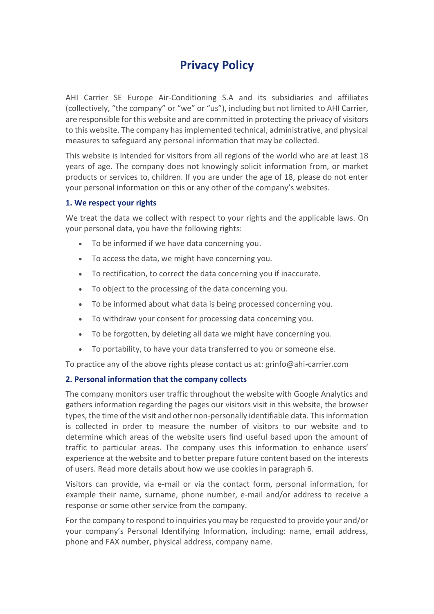# **Privacy Policy**

AHI Carrier SE Europe Air-Conditioning S.A and its subsidiaries and affiliates (collectively, "the company" or "we" or "us"), including but not limited to AHI Carrier, are responsible for this website and are committed in protecting the privacy of visitors to this website. The company has implemented technical, administrative, and physical measures to safeguard any personal information that may be collected.

This website is intended for visitors from all regions of the world who are at least 18 years of age. The company does not knowingly solicit information from, or market products or services to, children. If you are under the age of 18, please do not enter your personal information on this or any other of the company's websites.

## **1. We respect your rights**

We treat the data we collect with respect to your rights and the applicable laws. On your personal data, you have the following rights:

- To be informed if we have data concerning you.
- To access the data, we might have concerning you.
- To rectification, to correct the data concerning you if inaccurate.
- To object to the processing of the data concerning you.
- To be informed about what data is being processed concerning you.
- To withdraw your consent for processing data concerning you.
- To be forgotten, by deleting all data we might have concerning you.
- To portability, to have your data transferred to you or someone else.

To practice any of the above rights please contact us at: grinfo@ahi-carrier.com

## **2. Personal information that the company collects**

The company monitors user traffic throughout the website with Google Analytics and gathers information regarding the pages our visitors visit in this website, the browser types, the time of the visit and other non-personally identifiable data. This information is collected in order to measure the number of visitors to our website and to determine which areas of the website users find useful based upon the amount of traffic to particular areas. The company uses this information to enhance users' experience at the website and to better prepare future content based on the interests of users. Read more details about how we use cookies in paragraph 6.

Visitors can provide, via e-mail or via the contact form, personal information, for example their name, surname, phone number, e-mail and/or address to receive a response or some other service from the company.

For the company to respond to inquiries you may be requested to provide your and/or your company's Personal Identifying Information, including: name, email address, phone and FAX number, physical address, company name.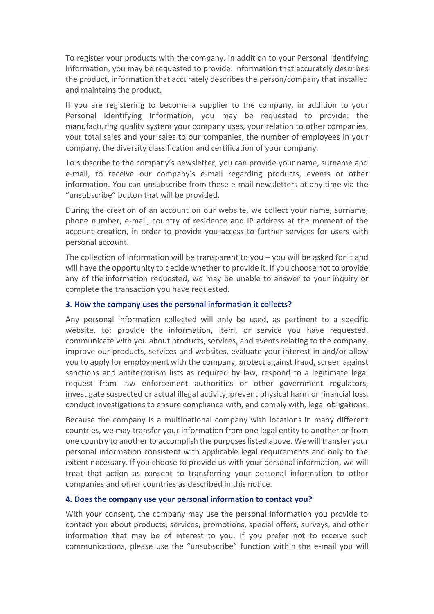To register your products with the company, in addition to your Personal Identifying Information, you may be requested to provide: information that accurately describes the product, information that accurately describes the person/company that installed and maintains the product.

If you are registering to become a supplier to the company, in addition to your Personal Identifying Information, you may be requested to provide: the manufacturing quality system your company uses, your relation to other companies, your total sales and your sales to our companies, the number of employees in your company, the diversity classification and certification of your company.

To subscribe to the company's newsletter, you can provide your name, surname and e-mail, to receive our company's e-mail regarding products, events or other information. You can unsubscribe from these e-mail newsletters at any time via the "unsubscribe" button that will be provided.

During the creation of an account on our website, we collect your name, surname, phone number, e-mail, country of residence and IP address at the moment of the account creation, in order to provide you access to further services for users with personal account.

The collection of information will be transparent to you – you will be asked for it and will have the opportunity to decide whether to provide it. If you choose not to provide any of the information requested, we may be unable to answer to your inquiry or complete the transaction you have requested.

#### **3. How the company uses the personal information it collects?**

Any personal information collected will only be used, as pertinent to a specific website, to: provide the information, item, or service you have requested, communicate with you about products, services, and events relating to the company, improve our products, services and websites, evaluate your interest in and/or allow you to apply for employment with the company, protect against fraud, screen against sanctions and antiterrorism lists as required by law, respond to a legitimate legal request from law enforcement authorities or other government regulators, investigate suspected or actual illegal activity, prevent physical harm or financial loss, conduct investigations to ensure compliance with, and comply with, legal obligations.

Because the company is a multinational company with locations in many different countries, we may transfer your information from one legal entity to another or from one country to another to accomplish the purposes listed above. We will transfer your personal information consistent with applicable legal requirements and only to the extent necessary. If you choose to provide us with your personal information, we will treat that action as consent to transferring your personal information to other companies and other countries as described in this notice.

#### **4. Does the company use your personal information to contact you?**

With your consent, the company may use the personal information you provide to contact you about products, services, promotions, special offers, surveys, and other information that may be of interest to you. If you prefer not to receive such communications, please use the "unsubscribe" function within the e-mail you will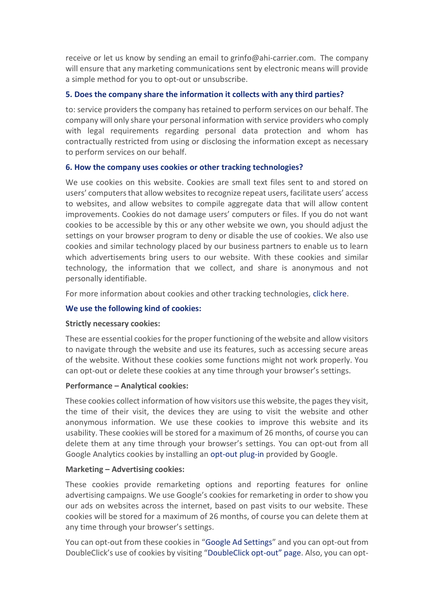receive or let us know by sending an email to grinfo@ahi-carrier.com. The company will ensure that any marketing communications sent by electronic means will provide a simple method for you to opt-out or unsubscribe.

# **5. Does the company share the information it collects with any third parties?**

to: service providers the company has retained to perform services on our behalf. The company will only share your personal information with service providers who comply with legal requirements regarding personal data protection and whom has contractually restricted from using or disclosing the information except as necessary to perform services on our behalf.

# **6. How the company uses cookies or other tracking technologies?**

We use cookies on this website. Cookies are small text files sent to and stored on users' computers that allow websites to recognize repeat users, facilitate users' access to websites, and allow websites to compile aggregate data that will allow content improvements. Cookies do not damage users' computers or files. If you do not want cookies to be accessible by this or any other website we own, you should adjust the settings on your browser program to deny or disable the use of cookies. We also use cookies and similar technology placed by our business partners to enable us to learn which advertisements bring users to our website. With these cookies and similar technology, the information that we collect, and share is anonymous and not personally identifiable.

For more information about cookies and other tracking technologies, click [here.](http://www.allaboutcookies.org/)

# **We use the following kind of cookies:**

## **Strictly necessary cookies:**

These are essential cookies for the proper functioning of the website and allow visitors to navigate through the website and use its features, such as accessing secure areas of the website. Without these cookies some functions might not work properly. You can opt-out or delete these cookies at any time through your browser's settings.

## **Performance – Analytical cookies:**

These cookies collect information of how visitors use this website, the pages they visit, the time of their visit, the devices they are using to visit the website and other anonymous information. We use these cookies to improve this website and its usability. These cookies will be stored for a maximum of 26 months, of course you can delete them at any time through your browser's settings. You can opt-out from all Google Analytics cookies by installing an [opt-out plug-in](https://tools.google.com/dlpage/gaoptout) provided by Google.

## **Marketing – Advertising cookies:**

These cookies provide remarketing options and reporting features for online advertising campaigns. We use Google's cookies for remarketing in order to show you our ads on websites across the internet, based on past visits to our website. These cookies will be stored for a maximum of 26 months, of course you can delete them at any time through your browser's settings.

You can opt-out from these cookies in "[Google Ad Settings](http://www.google.com/settings/ads)" and you can opt-out from DoubleClick's use of cookies by visiting "[DoubleClick opt-](https://www.google.com/settings/ads/onweb#display_optout)out" page. Also, you can opt